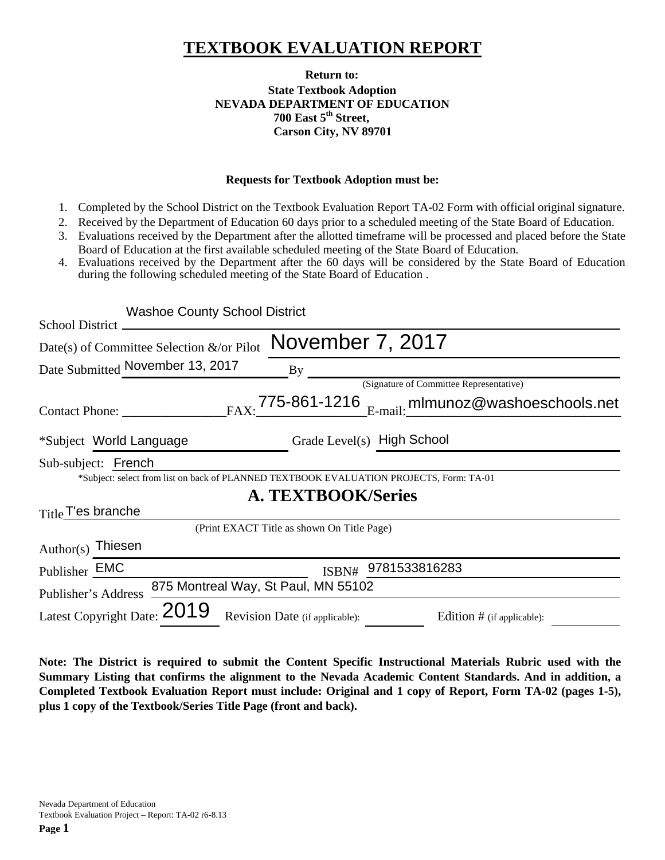# **TEXTBOOK EVALUATION REPORT**

### **Return to: State Textbook Adoption NEVADA DEPARTMENT OF EDUCATION 700 East 5th Street, Carson City, NV 89701**

#### **Requests for Textbook Adoption must be:**

- 1. Completed by the School District on the Textbook Evaluation Report TA-02 Form with official original signature.
- 2. Received by the Department of Education 60 days prior to a scheduled meeting of the State Board of Education.
- 3. Evaluations received by the Department after the allotted timeframe will be processed and placed before the State Board of Education at the first available scheduled meeting of the State Board of Education.
- 4. Evaluations received by the Department after the 60 days will be considered by the State Board of Education during the following scheduled meeting of the State Board of Education .

| <b>Washoe County School District</b>                                                    |                                |                                                                             |  |
|-----------------------------------------------------------------------------------------|--------------------------------|-----------------------------------------------------------------------------|--|
| <b>School District</b>                                                                  |                                |                                                                             |  |
| Date(s) of Committee Selection $\&$ /or Pilot                                           | November 7, 2017               |                                                                             |  |
| Date Submitted November 13, 2017                                                        | $\mathbf{By}$                  |                                                                             |  |
|                                                                                         |                                | (Signature of Committee Representative)                                     |  |
| Contact Phone:                                                                          |                                | $_{\text{FAX:}}$ 775-861-1216 $_{\text{E-mail:}}$ mlmunoz@washoeschools.net |  |
| *Subject World Language                                                                 |                                | Grade Level(s) High School                                                  |  |
| Sub-subject: French                                                                     |                                |                                                                             |  |
| *Subject: select from list on back of PLANNED TEXTBOOK EVALUATION PROJECTS, Form: TA-01 |                                |                                                                             |  |
|                                                                                         | <b>A. TEXTBOOK/Series</b>      |                                                                             |  |
| Title T'es branche                                                                      |                                |                                                                             |  |
| (Print EXACT Title as shown On Title Page)                                              |                                |                                                                             |  |
| Author(s) Thiesen                                                                       |                                |                                                                             |  |
| Publisher EMC                                                                           | ISBN#                          | 9781533816283                                                               |  |
| 875 Montreal Way, St Paul, MN 55102<br>Publisher's Address                              |                                |                                                                             |  |
| Latest Copyright Date: 2019                                                             | Revision Date (if applicable): | Edition # (if applicable):                                                  |  |

**Note: The District is required to submit the Content Specific Instructional Materials Rubric used with the Summary Listing that confirms the alignment to the Nevada Academic Content Standards. And in addition, a Completed Textbook Evaluation Report must include: Original and 1 copy of Report, Form TA-02 (pages 1-5), plus 1 copy of the Textbook/Series Title Page (front and back).**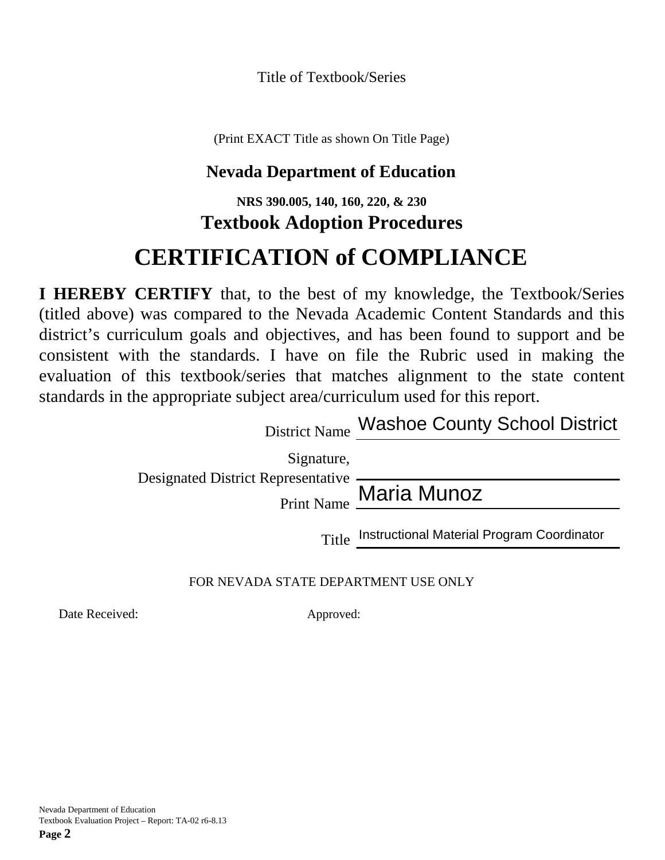Title of Textbook/Series

(Print EXACT Title as shown On Title Page)

# **Nevada Department of Education**

## **NRS 390.005, 140, 160, 220, & 230 Textbook Adoption Procedures**

# **CERTIFICATION of COMPLIANCE**

**I HEREBY CERTIFY** that, to the best of my knowledge, the Textbook/Series (titled above) was compared to the Nevada Academic Content Standards and this district's curriculum goals and objectives, and has been found to support and be consistent with the standards. I have on file the Rubric used in making the evaluation of this textbook/series that matches alignment to the state content standards in the appropriate subject area/curriculum used for this report.

District Name Washoe County School District

Signature,

Designated District Representative

Print Name Maria Munoz

Title Instructional Material Program Coordinator

FOR NEVADA STATE DEPARTMENT USE ONLY

Date Received: Approved: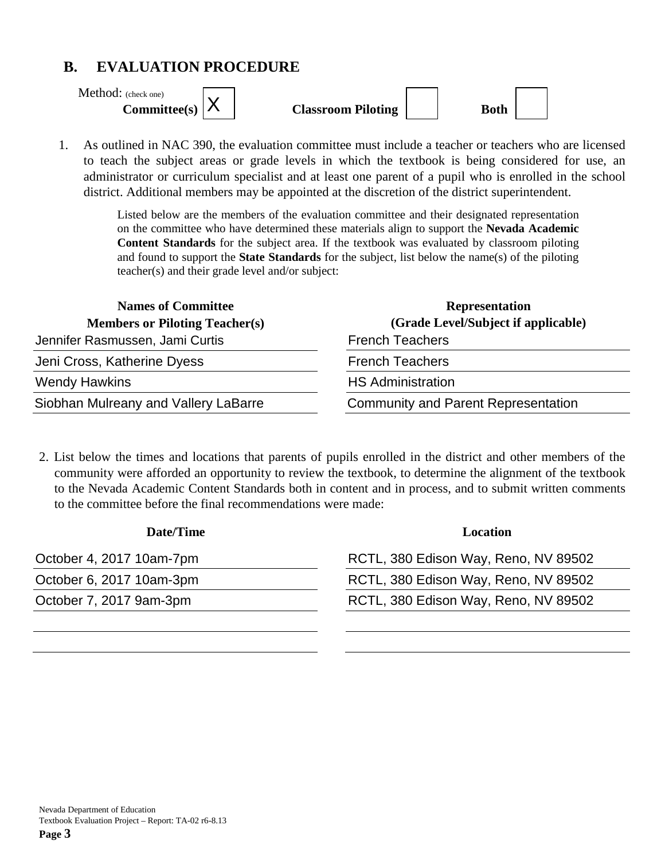## **B. EVALUATION PROCEDURE**

Method: (check one)

| [eets] |  |
|--------|--|
|--------|--|

**Committee(s)**  $\vert A \vert$  **Classroom Piloting** | | **Both** 



1. As outlined in NAC 390, the evaluation committee must include a teacher or teachers who are licensed to teach the subject areas or grade levels in which the textbook is being considered for use, an administrator or curriculum specialist and at least one parent of a pupil who is enrolled in the school district. Additional members may be appointed at the discretion of the district superintendent.

> Listed below are the members of the evaluation committee and their designated representation on the committee who have determined these materials align to support the **Nevada Academic Content Standards** for the subject area. If the textbook was evaluated by classroom piloting and found to support the **State Standards** for the subject, list below the name(s) of the piloting teacher(s) and their grade level and/or subject:

| <b>Names of Committee</b>             | <b>Representation</b>                      |
|---------------------------------------|--------------------------------------------|
| <b>Members or Piloting Teacher(s)</b> | (Grade Level/Subject if applicable)        |
| Jennifer Rasmussen, Jami Curtis       | <b>French Teachers</b>                     |
| Jeni Cross, Katherine Dyess           | <b>French Teachers</b>                     |
| <b>Wendy Hawkins</b>                  | <b>HS Administration</b>                   |
| Siobhan Mulreany and Vallery LaBarre  | <b>Community and Parent Representation</b> |

2. List below the times and locations that parents of pupils enrolled in the district and other members of the community were afforded an opportunity to review the textbook, to determine the alignment of the textbook to the Nevada Academic Content Standards both in content and in process, and to submit written comments to the committee before the final recommendations were made:

| Date/Time                | Location                             |
|--------------------------|--------------------------------------|
| October 4, 2017 10am-7pm | RCTL, 380 Edison Way, Reno, NV 89502 |
| October 6, 2017 10am-3pm | RCTL, 380 Edison Way, Reno, NV 89502 |
| October 7, 2017 9am-3pm  | RCTL, 380 Edison Way, Reno, NV 89502 |
|                          |                                      |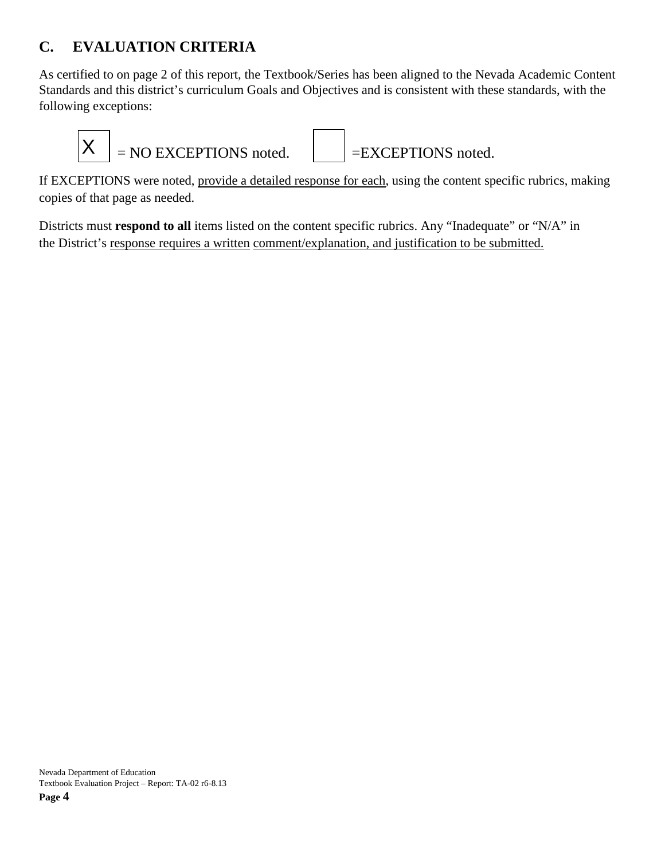## **C. EVALUATION CRITERIA**

As certified to on page 2 of this report, the Textbook/Series has been aligned to the Nevada Academic Content Standards and this district's curriculum Goals and Objectives and is consistent with these standards, with the following exceptions:



If EXCEPTIONS were noted, provide a detailed response for each, using the content specific rubrics, making copies of that page as needed.

Districts must **respond to all** items listed on the content specific rubrics. Any "Inadequate" or "N/A" in the District's response requires a written comment/explanation, and justification to be submitted.